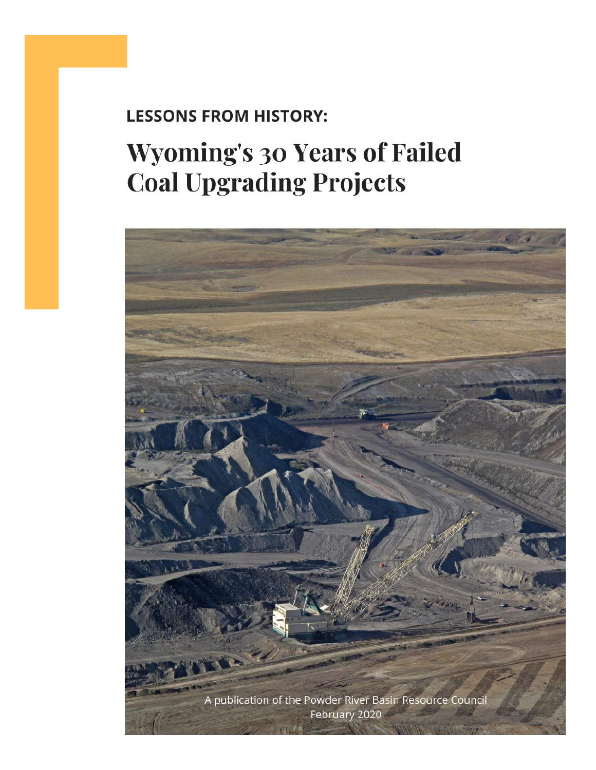### **LESSONS FROM HISTORY:**

# **Wyoming's 30 Years of Failed Coal Upgrading Projects**

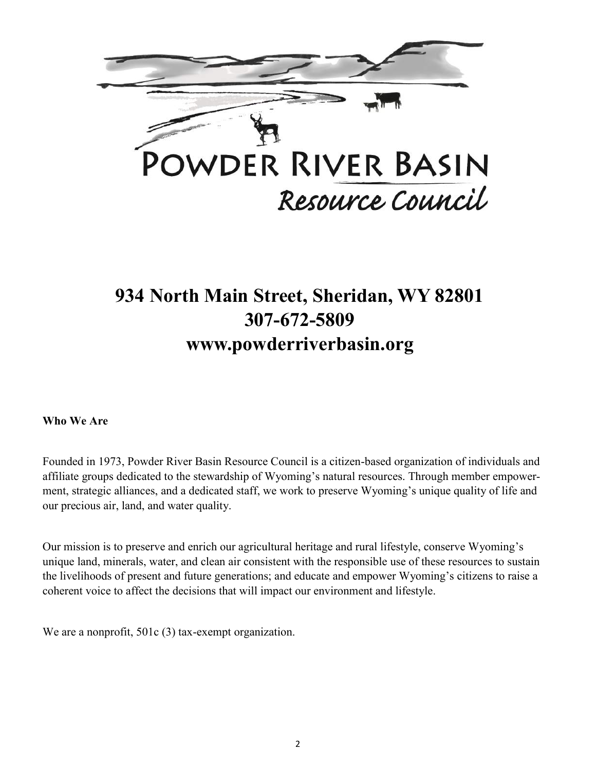

## **934 North Main Street, Sheridan, WY 82801 307-672-5809 www.powderriverbasin.org**

**Who We Are**

Founded in 1973, Powder River Basin Resource Council is a citizen-based organization of individuals and affiliate groups dedicated to the stewardship of Wyoming's natural resources. Through member empowerment, strategic alliances, and a dedicated staff, we work to preserve Wyoming's unique quality of life and our precious air, land, and water quality.

Our mission is to preserve and enrich our agricultural heritage and rural lifestyle, conserve Wyoming's unique land, minerals, water, and clean air consistent with the responsible use of these resources to sustain the livelihoods of present and future generations; and educate and empower Wyoming's citizens to raise a coherent voice to affect the decisions that will impact our environment and lifestyle.

We are a nonprofit, 501c (3) tax-exempt organization.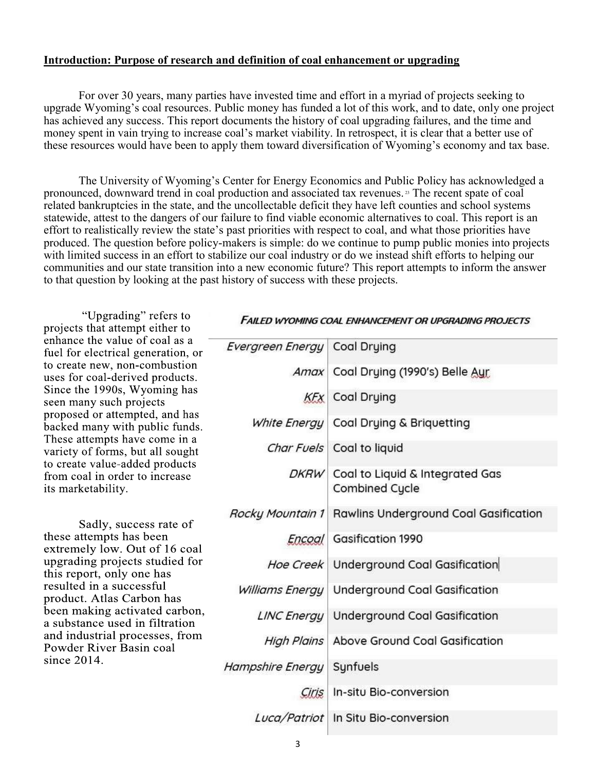#### **Introduction: Purpose of research and definition of coal enhancement or upgrading**

For over 30 years, many parties have invested time and effort in a myriad of projects seeking to upgrade Wyoming's coal resources. Public money has funded a lot of this work, and to date, only one project has achieved any success. This report documents the history of coal upgrading failures, and the time and money spent in vain trying to increase coal's market viability. In retrospect, it is clear that a better use of these resources would have been to apply them toward diversification of Wyoming's economy and tax base.

The University of Wyoming's Center for Energy Economics and Public Policy has acknowledged a pronounced, downward trend in coal production and associated tax revenues. <sup>23</sup> The recent spate of coal related bankruptcies in the state, and the uncollectable deficit they have left counties and school systems statewide, attest to the dangers of our failure to find viable economic alternatives to coal. This report is an effort to realistically review the state's past priorities with respect to coal, and what those priorities have produced. The question before policy-makers is simple: do we continue to pump public monies into projects with limited success in an effort to stabilize our coal industry or do we instead shift efforts to helping our communities and our state transition into a new economic future? This report attempts to inform the answer to that question by looking at the past history of success with these projects.

"Upgrading" refers to projects that attempt either to enhance the value of coal as a fuel for electrical generation, or to create new, non-combustion uses for coal-derived products. Since the 1990s, Wyoming has seen many such projects proposed or attempted, and has backed many with public funds. These attempts have come in a variety of forms, but all sought to create value-added products from coal in order to increase its marketability.

Sadly, success rate of these attempts has been extremely low. Out of 16 coal upgrading projects studied for this report, only one has resulted in a successful product. Atlas Carbon has been making activated carbon, a substance used in filtration and industrial processes, from Powder River Basin coal since  $2014$ .

#### **FAILED WYOMING COAL ENHANCEMENT OR UPGRADING PROJECTS**

| Evergreen Energy Coal Drying |                                                        |
|------------------------------|--------------------------------------------------------|
|                              | Amax Coal Drying (1990's) Belle Aur                    |
|                              | <b>KFx</b> Coal Drying                                 |
|                              | White Energy   Coal Drying & Briquetting               |
|                              | Char Fuels Coal to liquid                              |
|                              | DKRW Coal to Liquid & Integrated Gas<br>Combined Cycle |
|                              | Rocky Mountain 1 Rawlins Underground Coal Gasification |
|                              | Encoal Gasification 1990                               |
|                              | Hoe Creek Underground Coal Gasification                |
|                              | Williams Energy   Underground Coal Gasification        |
|                              | LINC Energy   Underground Coal Gasification            |
|                              | High Plains   Above Ground Coal Gasification           |
| Hampshire Energy             | Synfuels                                               |
| Ciris                        | In-situ Bio-conversion                                 |
|                              | Luca/Patriot In Situ Bio-conversion                    |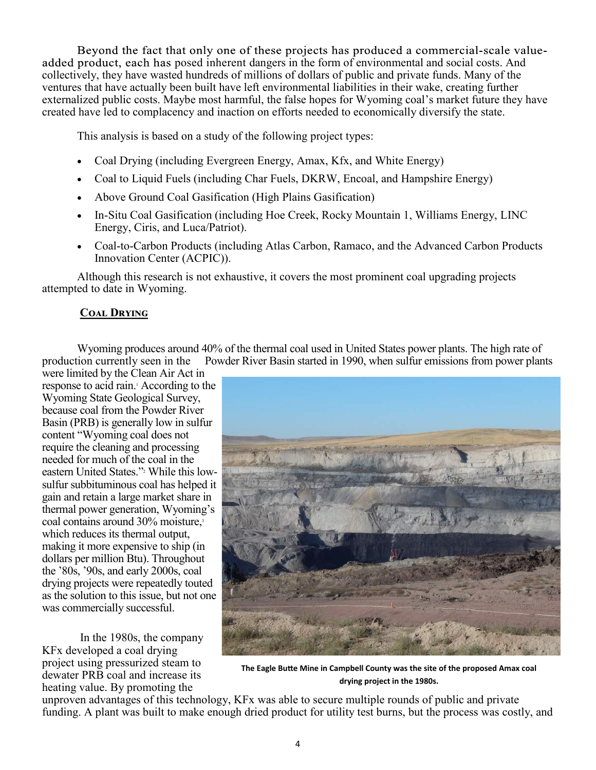Beyond the fact that only one of these projects has produced a commercial-scale valueadded product, each has posed inherent dangers in the form of environmental and social costs. And collectively, they have wasted hundreds of millions of dollars of public and private funds. Many of the ventures that have actually been built have left environmental liabilities in their wake, creating further externalized public costs. Maybe most harmful, the false hopes for Wyoming coal's market future they have created have led to complacency and inaction on efforts needed to economically diversify the state.

This analysis is based on a study of the following project types:

- Coal Drying (including Evergreen Energy, Amax, Kfx, and White Energy)
- Coal to Liquid Fuels (including Char Fuels, DKRW, Encoal, and Hampshire Energy)
- Above Ground Coal Gasification (High Plains Gasification)
- In-Situ Coal Gasification (including Hoe Creek, Rocky Mountain 1, Williams Energy, LINC Energy, Ciris, and Luca/Patriot).
- Coal-to-Carbon Products (including Atlas Carbon, Ramaco, and the Advanced Carbon Products Innovation Center (ACPIC)).

Although this research is not exhaustive, it covers the most prominent coal upgrading projects attempted to date in Wyoming.

#### **Coal Drying**

Wyoming produces around 40% of the thermal coal used in United States power plants. The high rate of production currently seen in the Powder River Basin started in 1990, when sulfur emissions from power plants

were limited by the Clean Air Act in response to acid rain.<sup>1</sup> According to the Wyoming State Geological Survey, because coal from the Powder River Basin (PRB) is generally low in sulfur content "Wyoming coal does not require the cleaning and processing needed for much of the coal in the eastern United States." <sup>2</sup> While this lowsulfur subbituminous coal has helped it gain and retain a large market share in thermal power generation, Wyoming's coal contains around 30% moisture,<sup>3</sup> which reduces its thermal output, making it more expensive to ship (in dollars per million Btu). Throughout the '80s, '90s, and early 2000s, coal drying projects were repeatedly touted as the solution to this issue, but not one was commercially successful.

In the 1980s, the company KFx developed a coal drying project using pressurized steam to dewater PRB coal and increase its heating value. By promoting the



**The Eagle Butte Mine in Campbell County was the site of the proposed Amax coal drying project in the 1980s.** 

unproven advantages of this technology, KFx was able to secure multiple rounds of public and private funding. A plant was built to make enough dried product for utility test burns, but the process was costly, and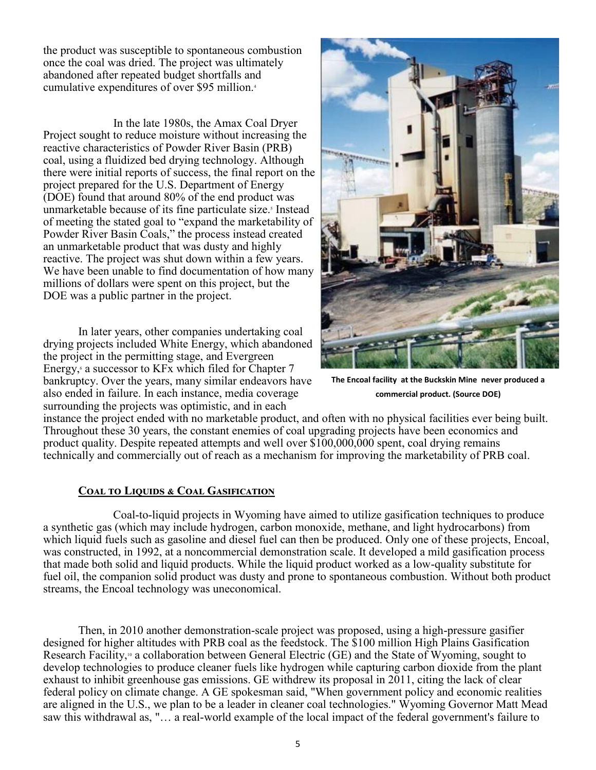the product was susceptible to spontaneous combustion once the coal was dried. The project was ultimately abandoned after repeated budget shortfalls and cumulative expenditures of over \$95 million.<sup>4</sup>

 In the late 1980s, the Amax Coal Dryer Project sought to reduce moisture without increasing the reactive characteristics of Powder River Basin (PRB) coal, using a fluidized bed drying technology. Although there were initial reports of success, the final report on the project prepared for the U.S. Department of Energy (DOE) found that around 80% of the end product was unmarketable because of its fine particulate size.<sup>5</sup> Instead of meeting the stated goal to "expand the marketability of Powder River Basin Coals," the process instead created an unmarketable product that was dusty and highly reactive. The project was shut down within a few years. We have been unable to find documentation of how many millions of dollars were spent on this project, but the DOE was a public partner in the project.

In later years, other companies undertaking coal drying projects included White Energy, which abandoned the project in the permitting stage, and Evergreen Energy, $6$  a successor to KFx which filed for Chapter 7 bankruptcy. Over the years, many similar endeavors have also ended in failure. In each instance, media coverage surrounding the projects was optimistic, and in each



**The Encoal facility at the Buckskin Mine never produced a commercial product. (Source DOE)**

instance the project ended with no marketable product, and often with no physical facilities ever being built. Throughout these 30 years, the constant enemies of coal upgrading projects have been economics and product quality. Despite repeated attempts and well over \$100,000,000 spent, coal drying remains technically and commercially out of reach as a mechanism for improving the marketability of PRB coal.

#### **COAL TO LIQUIDS & COAL GASIFICATION**

 Coal-to-liquid projects in Wyoming have aimed to utilize gasification techniques to produce a synthetic gas (which may include hydrogen, carbon monoxide, methane, and light hydrocarbons) from which liquid fuels such as gasoline and diesel fuel can then be produced. Only one of these projects, Encoal, was constructed, in 1992, at a noncommercial demonstration scale. It developed a mild gasification process that made both solid and liquid products. While the liquid product worked as a low-quality substitute for fuel oil, the companion solid product was dusty and prone to spontaneous combustion. Without both product streams, the Encoal technology was uneconomical.

Then, in 2010 another demonstration-scale project was proposed, using a high-pressure gasifier designed for higher altitudes with PRB coal as the feedstock. The \$100 million High Plains Gasification Research Facility,<sup>10</sup> a collaboration between General Electric (GE) and the State of Wyoming, sought to develop technologies to produce cleaner fuels like hydrogen while capturing carbon dioxide from the plant exhaust to inhibit greenhouse gas emissions. GE withdrew its proposal in 2011, citing the lack of clear federal policy on climate change. A GE spokesman said, "When government policy and economic realities are aligned in the U.S., we plan to be a leader in cleaner coal technologies." Wyoming Governor Matt Mead saw this withdrawal as, "… a real-world example of the local impact of the federal government's failure to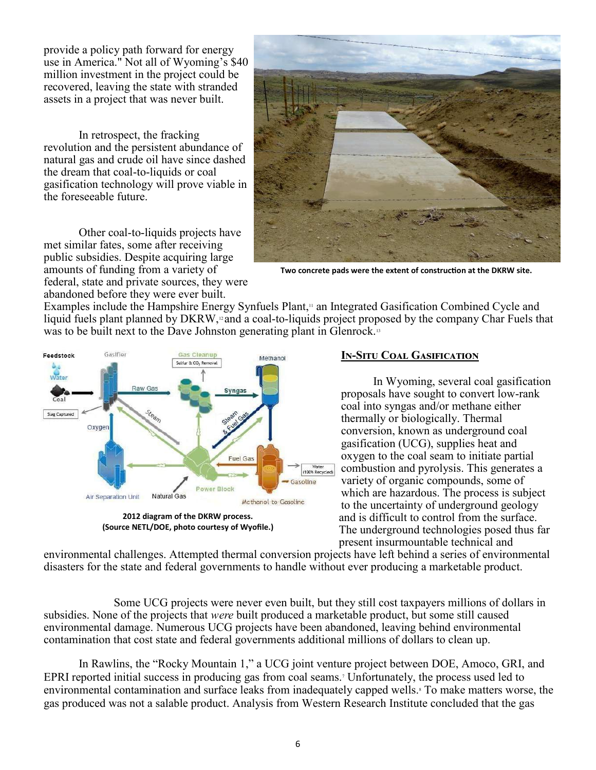provide a policy path forward for energy use in America." Not all of Wyoming's \$40 million investment in the project could be recovered, leaving the state with stranded assets in a project that was never built.

In retrospect, the fracking revolution and the persistent abundance of natural gas and crude oil have since dashed the dream that coal-to-liquids or coal gasification technology will prove viable in the foreseeable future.

Other coal-to-liquids projects have met similar fates, some after receiving public subsidies. Despite acquiring large amounts of funding from a variety of federal, state and private sources, they were abandoned before they were ever built.



**Two concrete pads were the extent of construction at the DKRW site.**

Examples include the Hampshire Energy Synfuels Plant,<sup>11</sup> an Integrated Gasification Combined Cycle and liquid fuels plant planned by DKRW,<sup>12</sup> and a coal-to-liquids project proposed by the company Char Fuels that was to be built next to the Dave Johnston generating plant in Glenrock.<sup>13</sup>



#### **In-Situ Coal Gasification**

 In Wyoming, several coal gasification proposals have sought to convert low-rank coal into syngas and/or methane either thermally or biologically. Thermal conversion, known as underground coal gasification (UCG), supplies heat and oxygen to the coal seam to initiate partial combustion and pyrolysis. This generates a variety of organic compounds, some of which are hazardous. The process is subject to the uncertainty of underground geology and is difficult to control from the surface. The underground technologies posed thus far present insurmountable technical and

environmental challenges. Attempted thermal conversion projects have left behind a series of environmental disasters for the state and federal governments to handle without ever producing a marketable product.

 Some UCG projects were never even built, but they still cost taxpayers millions of dollars in subsidies. None of the projects that *were* built produced a marketable product, but some still caused environmental damage. Numerous UCG projects have been abandoned, leaving behind environmental contamination that cost state and federal governments additional millions of dollars to clean up.

In Rawlins, the "Rocky Mountain 1," a UCG joint venture project between DOE, Amoco, GRI, and EPRI reported initial success in producing gas from coal seams.<sup>7</sup> Unfortunately, the process used led to environmental contamination and surface leaks from inadequately capped wells.<sup>8</sup> To make matters worse, the gas produced was not a salable product. Analysis from Western Research Institute concluded that the gas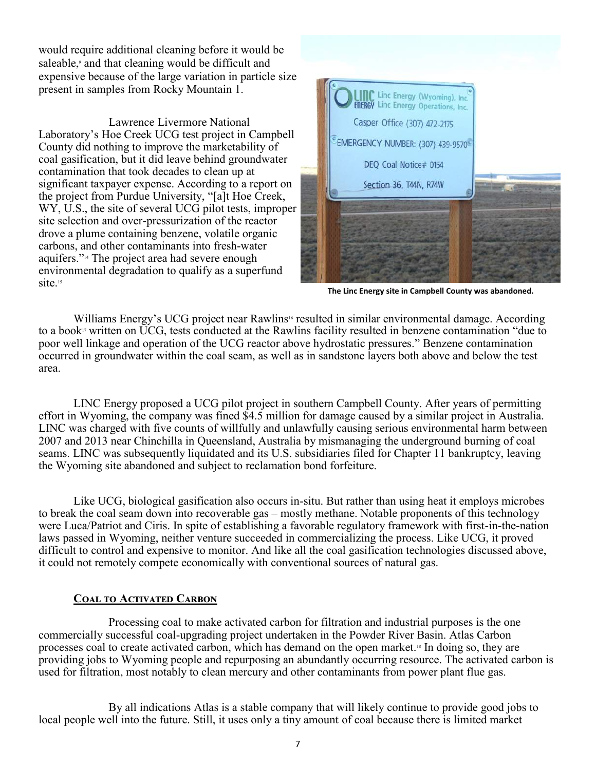would require additional cleaning before it would be saleable,<sup>9</sup> and that cleaning would be difficult and expensive because of the large variation in particle size present in samples from Rocky Mountain 1.

 Lawrence Livermore National Laboratory's Hoe Creek UCG test project in Campbell County did nothing to improve the marketability of coal gasification, but it did leave behind groundwater contamination that took decades to clean up at significant taxpayer expense. According to a report on the project from Purdue University, "[a]t Hoe Creek, WY, U.S., the site of several UCG pilot tests, improper site selection and over-pressurization of the reactor drove a plume containing benzene, volatile organic carbons, and other contaminants into fresh-water aquifers." <sup>14</sup> The project area had severe enough environmental degradation to qualify as a superfund site.<sup>15</sup>



**The Linc Energy site in Campbell County was abandoned.**

Williams Energy's UCG project near Rawlins<sup>16</sup> resulted in similar environmental damage. According to a book<sup>17</sup> written on UCG, tests conducted at the Rawlins facility resulted in benzene contamination "due to poor well linkage and operation of the UCG reactor above hydrostatic pressures." Benzene contamination occurred in groundwater within the coal seam, as well as in sandstone layers both above and below the test area.

LINC Energy proposed a UCG pilot project in southern Campbell County. After years of permitting effort in Wyoming, the company was fined \$4.5 million for damage caused by a similar project in Australia. LINC was charged with five counts of willfully and unlawfully causing serious environmental harm between 2007 and 2013 near Chinchilla in Queensland, Australia by mismanaging the underground burning of coal seams. LINC was subsequently liquidated and its U.S. subsidiaries filed for Chapter 11 bankruptcy, leaving the Wyoming site abandoned and subject to reclamation bond forfeiture.

Like UCG, biological gasification also occurs in-situ. But rather than using heat it employs microbes to break the coal seam down into recoverable gas – mostly methane. Notable proponents of this technology were Luca/Patriot and Ciris. In spite of establishing a favorable regulatory framework with first-in-the-nation laws passed in Wyoming, neither venture succeeded in commercializing the process. Like UCG, it proved difficult to control and expensive to monitor. And like all the coal gasification technologies discussed above, it could not remotely compete economically with conventional sources of natural gas.

#### **Coal to Activated Carbon**

 Processing coal to make activated carbon for filtration and industrial purposes is the one commercially successful coal-upgrading project undertaken in the Powder River Basin. Atlas Carbon processes coal to create activated carbon, which has demand on the open market.<sup>18</sup> In doing so, they are providing jobs to Wyoming people and repurposing an abundantly occurring resource. The activated carbon is used for filtration, most notably to clean mercury and other contaminants from power plant flue gas.

 By all indications Atlas is a stable company that will likely continue to provide good jobs to local people well into the future. Still, it uses only a tiny amount of coal because there is limited market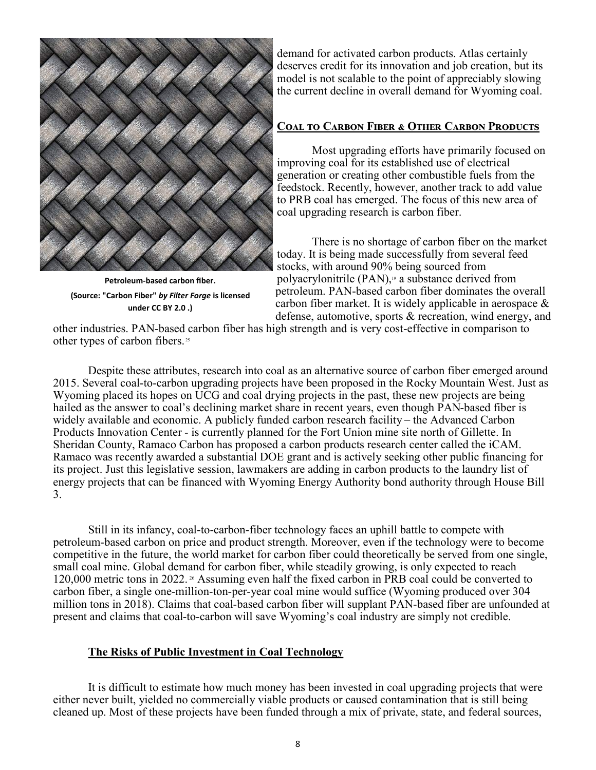

**Petroleum-based carbon fiber. (Source: ["Carbon Fiber"](https://www.flickr.com/photos/93421824@N06/26242536344)** *by [Filter Forge](https://www.flickr.com/photos/93421824@N06)* **is licensed under [CC BY 2.0](https://creativecommons.org/licenses/by/2.0/?ref=ccsearch&atype=rich) .)**

demand for activated carbon products. Atlas certainly deserves credit for its innovation and job creation, but its model is not scalable to the point of appreciably slowing the current decline in overall demand for Wyoming coal.

#### **Coal to Carbon Fiber & Other Carbon Products**

 Most upgrading efforts have primarily focused on improving coal for its established use of electrical generation or creating other combustible fuels from the feedstock. Recently, however, another track to add value to PRB coal has emerged. The focus of this new area of coal upgrading research is carbon fiber.

 There is no shortage of carbon fiber on the market today. It is being made successfully from several feed stocks, with around 90% being sourced from polyacrylonitrile  $(PAN)$ ,<sup>19</sup> a substance derived from petroleum. PAN-based carbon fiber dominates the overall carbon fiber market. It is widely applicable in aerospace & defense, automotive, sports & recreation, wind energy, and

other industries. PAN-based carbon fiber has high strength and is very cost-effective in comparison to other types of carbon fibers. <sup>25</sup>

Despite these attributes, research into coal as an alternative source of carbon fiber emerged around 2015. Several coal-to-carbon upgrading projects have been proposed in the Rocky Mountain West. Just as Wyoming placed its hopes on UCG and coal drying projects in the past, these new projects are being hailed as the answer to coal's declining market share in recent years, even though PAN-based fiber is widely available and economic. A publicly funded carbon research facility – the Advanced Carbon Products Innovation Center - is currently planned for the Fort Union mine site north of Gillette. In Sheridan County, Ramaco Carbon has proposed a carbon products research center called the iCAM. Ramaco was recently awarded a substantial DOE grant and is actively seeking other public financing for its project. Just this legislative session, lawmakers are adding in carbon products to the laundry list of energy projects that can be financed with Wyoming Energy Authority bond authority through House Bill 3.

Still in its infancy, coal-to-carbon-fiber technology faces an uphill battle to compete with petroleum-based carbon on price and product strength. Moreover, even if the technology were to become competitive in the future, the world market for carbon fiber could theoretically be served from one single, small coal mine. Global demand for carbon fiber, while steadily growing, is only expected to reach 120,000 metric tons in 2022. <sup>26</sup> Assuming even half the fixed carbon in PRB coal could be converted to carbon fiber, a single one-million-ton-per-year coal mine would suffice (Wyoming produced over 304 million tons in 2018). Claims that coal-based carbon fiber will supplant PAN-based fiber are unfounded at present and claims that coal-to-carbon will save Wyoming's coal industry are simply not credible.

#### **The Risks of Public Investment in Coal Technology**

It is difficult to estimate how much money has been invested in coal upgrading projects that were either never built, yielded no commercially viable products or caused contamination that is still being cleaned up. Most of these projects have been funded through a mix of private, state, and federal sources,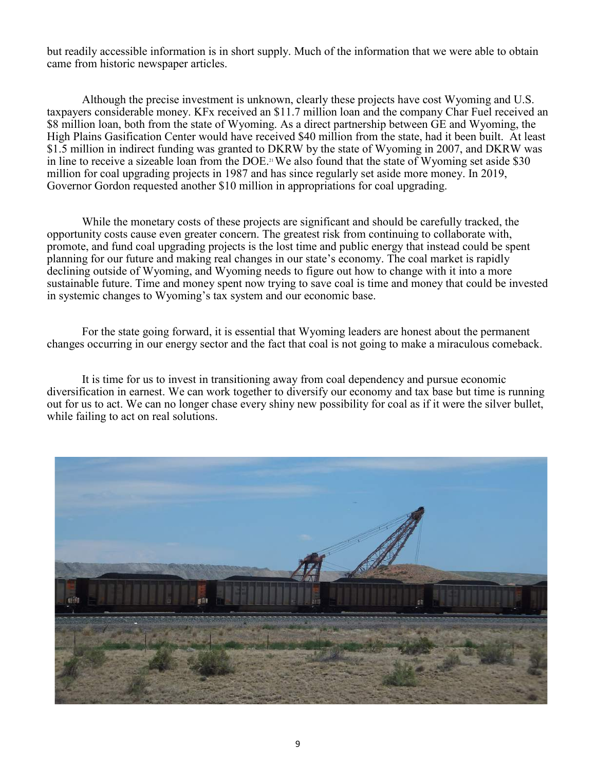but readily accessible information is in short supply. Much of the information that we were able to obtain came from historic newspaper articles.

Although the precise investment is unknown, clearly these projects have cost Wyoming and U.S. taxpayers considerable money. KFx received an \$11.7 million loan and the company Char Fuel received an \$8 million loan, both from the state of Wyoming. As a direct partnership between GE and Wyoming, the High Plains Gasification Center would have received \$40 million from the state, had it been built. At least \$1.5 million in indirect funding was granted to DKRW by the state of Wyoming in 2007, and DKRW was in line to receive a sizeable loan from the DOE.<sup>21</sup> We also found that the state of Wyoming set aside \$30 million for coal upgrading projects in 1987 and has since regularly set aside more money. In 2019, Governor Gordon requested another \$10 million in appropriations for coal upgrading.

While the monetary costs of these projects are significant and should be carefully tracked, the opportunity costs cause even greater concern. The greatest risk from continuing to collaborate with, promote, and fund coal upgrading projects is the lost time and public energy that instead could be spent planning for our future and making real changes in our state's economy. The coal market is rapidly declining outside of Wyoming, and Wyoming needs to figure out how to change with it into a more sustainable future. Time and money spent now trying to save coal is time and money that could be invested in systemic changes to Wyoming's tax system and our economic base.

For the state going forward, it is essential that Wyoming leaders are honest about the permanent changes occurring in our energy sector and the fact that coal is not going to make a miraculous comeback.

It is time for us to invest in transitioning away from coal dependency and pursue economic diversification in earnest. We can work together to diversify our economy and tax base but time is running out for us to act. We can no longer chase every shiny new possibility for coal as if it were the silver bullet, while failing to act on real solutions.

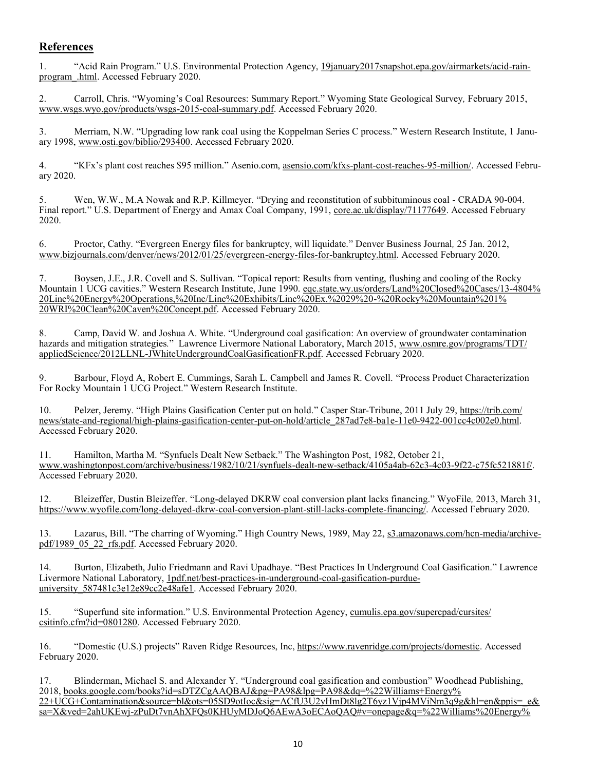#### **References**

1. "Acid Rain Program." U.S. Environmental Protection Agency, [19january2017snapshot.epa.gov/airmarkets/acid](https://19january2017snapshot.epa.gov/airmarkets/acid-rain-program_.html)-rain[program\\_.html.](https://19january2017snapshot.epa.gov/airmarkets/acid-rain-program_.html) Accessed February 2020.

2. Carroll, Chris. "Wyoming's Coal Resources: Summary Report." Wyoming State Geological Survey*,* February 2015, [www.wsgs.wyo.gov/products/wsgs](https://www.wsgs.wyo.gov/products/wsgs-2015-coal-summary.pdf)-2015-coal-summary.pdf. Accessed February 2020.

3. Merriam, N.W. "Upgrading low rank coal using the Koppelman Series C process." Western Research Institute, 1 January 1998, [www.osti.gov/biblio/293400.](https://www.osti.gov/biblio/293400) Accessed February 2020.

4. "KFx's plant cost reaches \$95 million." Asenio.com, [asensio.com/kfxs](https://asensio.com/kfxs-plant-cost-reaches-95-million/)-plant-cost-reaches-95-million/. Accessed February 2020.

5. Wen, W.W., M.A Nowak and R.P. Killmeyer. "Drying and reconstitution of subbituminous coal - CRADA 90-004. Final report." U.S. Department of Energy and Amax Coal Company, 1991, [core.ac.uk/display/71177649.](https://core.ac.uk/display/71177649) Accessed February 2020.

6. Proctor, Cathy. "Evergreen Energy files for bankruptcy, will liquidate." Denver Business Journal*,* 25 Jan. 2012, [www.bizjournals.com/denver/news/2012/01/25/evergreen](https://www.bizjournals.com/denver/news/2012/01/25/evergreen-energy-files-for-bankruptcy.html)-energy-files-for-bankruptcy.html. Accessed February 2020.

7. Boysen, J.E., J.R. Covell and S. Sullivan. "Topical report: Results from venting, flushing and cooling of the Rocky Mountain 1 UCG cavities." Western Research Institute, June 1990. [eqc.state.wy.us/orders/Land%20Closed%20Cases/13](http://eqc.state.wy.us/orders/Land%20Closed%20Cases/13-4804%20Linc%20Energy%20Operations,%20Inc/Linc%20Exhibits/Linc%20Ex.%2029%20-%20Rocky%20Mountain%201%20WRI%20Clean%20Caven%20Concept.pdf)-4804% [20Linc%20Energy%20Operations,%20Inc/Linc%20Exhibits/Linc%20Ex.%2029%20](http://eqc.state.wy.us/orders/Land%20Closed%20Cases/13-4804%20Linc%20Energy%20Operations,%20Inc/Linc%20Exhibits/Linc%20Ex.%2029%20-%20Rocky%20Mountain%201%20WRI%20Clean%20Caven%20Concept.pdf)-%20Rocky%20Mountain%201% [20WRI%20Clean%20Caven%20Concept.pdf.](http://eqc.state.wy.us/orders/Land%20Closed%20Cases/13-4804%20Linc%20Energy%20Operations,%20Inc/Linc%20Exhibits/Linc%20Ex.%2029%20-%20Rocky%20Mountain%201%20WRI%20Clean%20Caven%20Concept.pdf) Accessed February 2020.

8. Camp, David W. and Joshua A. White. "Underground coal gasification: An overview of groundwater contamination hazards and mitigation strategies*.*" Lawrence Livermore National Laboratory, March 2015, [www.osmre.gov/programs/TDT/](https://www.osmre.gov/programs/TDT/appliedScience/2012LLNL-JWhiteUndergroundCoalGasificationFR.pdf) appliedScience/2012LLNL-[JWhiteUndergroundCoalGasificationFR.pdf.](https://www.osmre.gov/programs/TDT/appliedScience/2012LLNL-JWhiteUndergroundCoalGasificationFR.pdf) Accessed February 2020.

9. Barbour, Floyd A, Robert E. Cummings, Sarah L. Campbell and James R. Covell. "Process Product Characterization For Rocky Mountain 1 UCG Project." Western Research Institute.

10. Pelzer, Jeremy. "High Plains Gasification Center put on hold." Casper Star-Tribune, 2011 July 29, [https://trib.com/](https://trib.com/news/state-and-regional/high-plains-gasification-center-put-on-hold/article_287ad7e8-ba1e-11e0-9422-001cc4c002e0.html) news/state-and-regional/high-plains-gasification-center-put-on-[hold/article\\_287ad7e8](https://trib.com/news/state-and-regional/high-plains-gasification-center-put-on-hold/article_287ad7e8-ba1e-11e0-9422-001cc4c002e0.html)-ba1e-11e0-9422-001cc4c002e0.html. Accessed February 2020.

11. Hamilton, Martha M. "Synfuels Dealt New Setback." The Washington Post, 1982, October 21, [www.washingtonpost.com/archive/business/1982/10/21/synfuels](https://www.washingtonpost.com/archive/business/1982/10/21/synfuels-dealt-new-setback/4105a4ab-62c3-4c03-9f22-c75fc521881f/)-dealt-new-setback/4105a4ab-62c3-4c03-9f22-c75fc521881f/. Accessed February 2020.

12. Bleizeffer, Dustin Bleizeffer. "Long-delayed DKRW coal conversion plant lacks financing." WyoFile*,* 2013, March 31, [https://www.wyofile.com/long](https://www.wyofile.com/long-delayed-dkrw-coal-conversion-plant-still-lacks-complete-financing/)-delayed-dkrw-coal-conversion-plant-still-lacks-complete-financing/. Accessed February 2020.

13. Lazarus, Bill. "The charring of Wyoming." High Country News, 1989, May 22, [s3.amazonaws.com/hcn](https://s3.amazonaws.com/hcn-media/archive-pdf/1989_05_22_rfs.pdf)-media/archive[pdf/1989\\_05\\_22\\_rfs.pdf.](https://s3.amazonaws.com/hcn-media/archive-pdf/1989_05_22_rfs.pdf) Accessed February 2020.

14. Burton, Elizabeth, Julio Friedmann and Ravi Upadhaye. "Best Practices In Underground Coal Gasification." Lawrence Livermore National Laboratory, [1pdf.net/best](https://1pdf.net/best-practices-in-underground-coal-gasification-purdue-university_587481c3e12e89cc2e48afe1)-practices-in-underground-coal-gasification-purdueuniversity 587481c3e12e89cc2e48afe1. Accessed February 2020.

15. "Superfund site information." U.S. Environmental Protection Agency, [cumulis.epa.gov/supercpad/cursites/](https://cumulis.epa.gov/supercpad/cursites/csitinfo.cfm?id=0801280) [csitinfo.cfm?id=0801280.](https://cumulis.epa.gov/supercpad/cursites/csitinfo.cfm?id=0801280) Accessed February 2020.

16. "Domestic (U.S.) projects" Raven Ridge Resources, Inc, [https://www.ravenridge.com/projects/domestic.](https://www.ravenridge.com/projects/domestic/) Accessed February 2020.

17. Blinderman, Michael S. and Alexander Y. "Underground coal gasification and combustion" Woodhead Publishing, 2018, [books.google.com/books?id=sDTZCgAAQBAJ&pg=PA98&lpg=PA98&dq=%22Williams+Energy%](https://books.google.com/books?id=sDTZCgAAQBAJ&pg=PA98&lpg=PA98&dq=%22Williams+Energy%22+UCG+Contamination&source=bl&ots=05SD9otIoc&sig=ACfU3U2yHmDt8lg2T6yz1Vjp4MViNm3q9g&hl=en&ppis=_e&sa=X&ved=2ahUKEwj-zPuDt7vnAhXFQs0KHUyMDJoQ6AEwA3oECAoQAQ#v=onepage&q=%22Wi) [22+UCG+Contamination&source=bl&ots=05SD9otIoc&sig=ACfU3U2yHmDt8lg2T6yz1Vjp4MViNm3q9g&hl=en&ppis=\\_e&](https://books.google.com/books?id=sDTZCgAAQBAJ&pg=PA98&lpg=PA98&dq=%22Williams+Energy%22+UCG+Contamination&source=bl&ots=05SD9otIoc&sig=ACfU3U2yHmDt8lg2T6yz1Vjp4MViNm3q9g&hl=en&ppis=_e&sa=X&ved=2ahUKEwj-zPuDt7vnAhXFQs0KHUyMDJoQ6AEwA3oECAoQAQ#v=onepage&q=%22Wi) sa=X&ved=2ahUKEwj-[zPuDt7vnAhXFQs0KHUyMDJoQ6AEwA3oECAoQAQ#v=onepage&q=%22Williams%20Energy%](https://books.google.com/books?id=sDTZCgAAQBAJ&pg=PA98&lpg=PA98&dq=%22Williams+Energy%22+UCG+Contamination&source=bl&ots=05SD9otIoc&sig=ACfU3U2yHmDt8lg2T6yz1Vjp4MViNm3q9g&hl=en&ppis=_e&sa=X&ved=2ahUKEwj-zPuDt7vnAhXFQs0KHUyMDJoQ6AEwA3oECAoQAQ#v=onepage&q=%22Wi)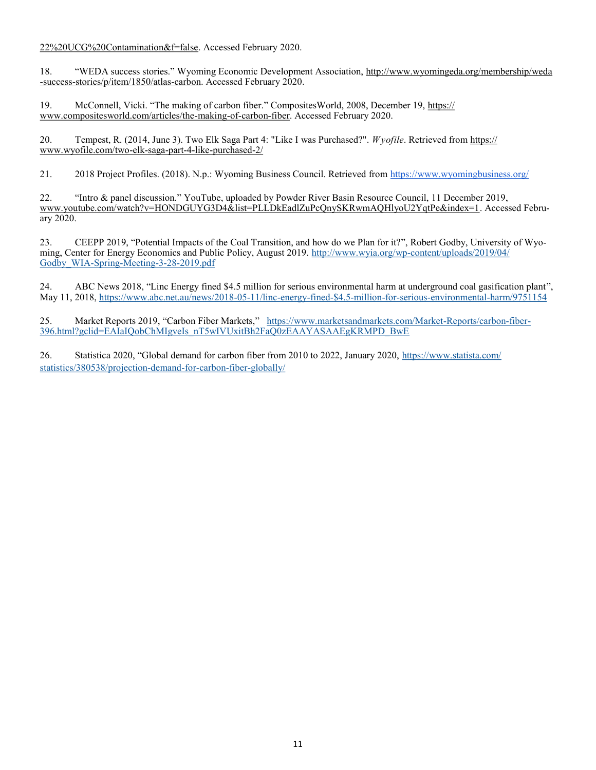[22%20UCG%20Contamination&f=false.](https://books.google.com/books?id=sDTZCgAAQBAJ&pg=PA98&lpg=PA98&dq=%22Williams+Energy%22+UCG+Contamination&source=bl&ots=05SD9otIoc&sig=ACfU3U2yHmDt8lg2T6yz1Vjp4MViNm3q9g&hl=en&ppis=_e&sa=X&ved=2ahUKEwj-zPuDt7vnAhXFQs0KHUyMDJoQ6AEwA3oECAoQAQ#v=onepage&q=%22Wi) Accessed February 2020.

18. "WEDA success stories." Wyoming Economic Development Association, [http://www.wyomingeda.org/membership/weda](http://www.wyomingeda.org/membership/weda-success-stories/p/item/1850/atlas-carbon) -success-[stories/p/item/1850/atlas](http://www.wyomingeda.org/membership/weda-success-stories/p/item/1850/atlas-carbon)-carbon. Accessed February 2020.

19. McConnell, Vicki. "The making of carbon fiber." CompositesWorld, 2008, December 19, [https://](https://www.compositesworld.com/articles/the-making-of-carbon-fiber) [www.compositesworld.com/articles/the](https://www.compositesworld.com/articles/the-making-of-carbon-fiber)-making-of-carbon-fiber. Accessed February 2020.

20. Tempest, R. (2014, June 3). Two Elk Saga Part 4: "Like I was Purchased?". *Wyofile*. Retrieved from [https://](https://www.wyofile.com/two-elk-saga-part-4-like-purchased-2/) [www.wyofile.com/two](https://www.wyofile.com/two-elk-saga-part-4-like-purchased-2/)-elk-saga-part-4-like-purchased-2/

21. 2018 Project Profiles. (2018). N.p.: Wyoming Business Council. Retrieved from <https://www.wyomingbusiness.org/>

22. "Intro & panel discussion." YouTube, uploaded by Powder River Basin Resource Council, 11 December 2019, [www.youtube.com/watch?v=HONDGUYG3D4&list=PLLDkEadlZuPcQnySKRwmAQHlyoU2YqtPe&index=1.](https://www.youtube.com/watch?v=HONDGUYG3D4&list=PLLDkEadlZuPcQnySKRwmAQHlyoU2YqtPe&index=1) Accessed February 2020.

23. CEEPP 2019, "Potential Impacts of the Coal Transition, and how do we Plan for it?", Robert Godby, University of Wyoming, Center for Energy Economics and Public Policy, August 2019. http://www.wyia.org/wp-[content/uploads/2019/04/](http://www.wyia.org/wp-content/uploads/2019/04/Godby_WIA-Spring-Meeting-3-28-2019.pdf) [Godby\\_WIA](http://www.wyia.org/wp-content/uploads/2019/04/Godby_WIA-Spring-Meeting-3-28-2019.pdf)-Spring-Meeting-3-28-2019.pdf

24. ABC News 2018, "Linc Energy fined \$4.5 million for serious environmental harm at underground coal gasification plant", May 11, 2018, [https://www.abc.net.au/news/2018](https://www.abc.net.au/news/2018-05-11/linc-energy-fined-$4.5-million-for-serious-environmental-harm/9751154)-05-11/linc-energy-fined-\$4.5-million-for-serious-environmental-harm/9751154

25. Market Reports 2019, "Carbon Fiber Markets," [https://www.marketsandmarkets.com/Market](https://www.marketsandmarkets.com/Market-Reports/carbon-fiber-396.html?gclid=EAIaIQobChMIgveIs_nT5wIVUxitBh2FaQ0zEAAYASAAEgKRMPD_BwE)-Reports/carbon-fiber-[396.html?gclid=EAIaIQobChMIgveIs\\_nT5wIVUxitBh2FaQ0zEAAYASAAEgKRMPD\\_BwE](https://www.marketsandmarkets.com/Market-Reports/carbon-fiber-396.html?gclid=EAIaIQobChMIgveIs_nT5wIVUxitBh2FaQ0zEAAYASAAEgKRMPD_BwE)

26. Statistica 2020, "Global demand for carbon fiber from 2010 to 2022, January 2020, [https://www.statista.com/](https://www.statista.com/statistics/380538/projection-demand-for-carbon-fiber-globally/) [statistics/380538/projection](https://www.statista.com/statistics/380538/projection-demand-for-carbon-fiber-globally/)-demand-for-carbon-fiber-globally/